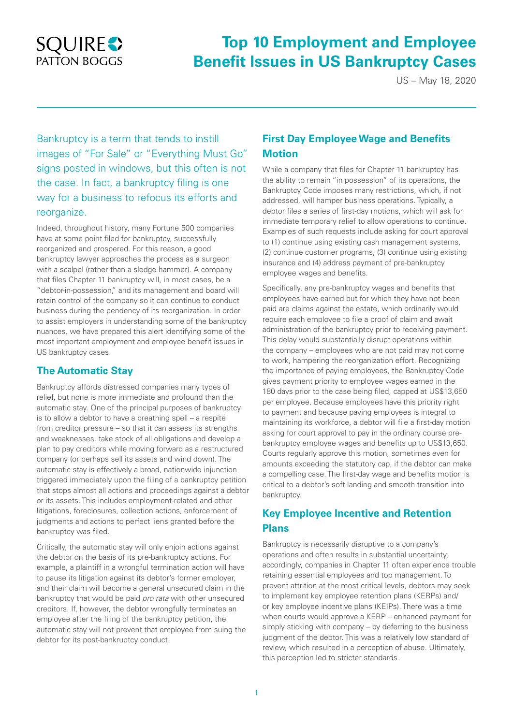# **SQUIRE** PATTON BOGGS

# **Top 10 Employment and Employee Benefit Issues in US Bankruptcy Cases**

US – May 18, 2020

Bankruptcy is a term that tends to instill images of "For Sale" or "Everything Must Go" signs posted in windows, but this often is not the case. In fact, a bankruptcy filing is one way for a business to refocus its efforts and reorganize.

Indeed, throughout history, many Fortune 500 companies have at some point filed for bankruptcy, successfully reorganized and prospered. For this reason, a good bankruptcy lawyer approaches the process as a surgeon with a scalpel (rather than a sledge hammer). A company that files Chapter 11 bankruptcy will, in most cases, be a "debtor-in-possession," and its management and board will retain control of the company so it can continue to conduct business during the pendency of its reorganization. In order to assist employers in understanding some of the bankruptcy nuances, we have prepared this alert identifying some of the most important employment and employee benefit issues in US bankruptcy cases.

## **The Automatic Stay**

Bankruptcy affords distressed companies many types of relief, but none is more immediate and profound than the automatic stay. One of the principal purposes of bankruptcy is to allow a debtor to have a breathing spell – a respite from creditor pressure – so that it can assess its strengths and weaknesses, take stock of all obligations and develop a plan to pay creditors while moving forward as a restructured company (or perhaps sell its assets and wind down). The automatic stay is effectively a broad, nationwide injunction triggered immediately upon the filing of a bankruptcy petition that stops almost all actions and proceedings against a debtor or its assets. This includes employment-related and other litigations, foreclosures, collection actions, enforcement of judgments and actions to perfect liens granted before the bankruptcy was filed.

Critically, the automatic stay will only enjoin actions against the debtor on the basis of its pre-bankruptcy actions. For example, a plaintiff in a wrongful termination action will have to pause its litigation against its debtor's former employer, and their claim will become a general unsecured claim in the bankruptcy that would be paid *pro rata* with other unsecured creditors. If, however, the debtor wrongfully terminates an employee after the filing of the bankruptcy petition, the automatic stay will not prevent that employee from suing the debtor for its post-bankruptcy conduct.

# **First Day Employee Wage and Benefits Motion**

While a company that files for Chapter 11 bankruptcy has the ability to remain "in possession" of its operations, the Bankruptcy Code imposes many restrictions, which, if not addressed, will hamper business operations. Typically, a debtor files a series of first-day motions, which will ask for immediate temporary relief to allow operations to continue. Examples of such requests include asking for court approval to (1) continue using existing cash management systems, (2) continue customer programs, (3) continue using existing insurance and (4) address payment of pre-bankruptcy employee wages and benefits.

Specifically, any pre-bankruptcy wages and benefits that employees have earned but for which they have not been paid are claims against the estate, which ordinarily would require each employee to file a proof of claim and await administration of the bankruptcy prior to receiving payment. This delay would substantially disrupt operations within the company – employees who are not paid may not come to work, hampering the reorganization effort. Recognizing the importance of paying employees, the Bankruptcy Code gives payment priority to employee wages earned in the 180 days prior to the case being filed, capped at US\$13,650 per employee. Because employees have this priority right to payment and because paying employees is integral to maintaining its workforce, a debtor will file a first-day motion asking for court approval to pay in the ordinary course prebankruptcy employee wages and benefits up to US\$13,650. Courts regularly approve this motion, sometimes even for amounts exceeding the statutory cap, if the debtor can make a compelling case. The first-day wage and benefits motion is critical to a debtor's soft landing and smooth transition into bankruptcy.

## **Key Employee Incentive and Retention Plans**

Bankruptcy is necessarily disruptive to a company's operations and often results in substantial uncertainty; accordingly, companies in Chapter 11 often experience trouble retaining essential employees and top management. To prevent attrition at the most critical levels, debtors may seek to implement key employee retention plans (KERPs) and/ or key employee incentive plans (KEIPs). There was a time when courts would approve a KERP – enhanced payment for simply sticking with company – by deferring to the business judgment of the debtor. This was a relatively low standard of review, which resulted in a perception of abuse. Ultimately, this perception led to stricter standards.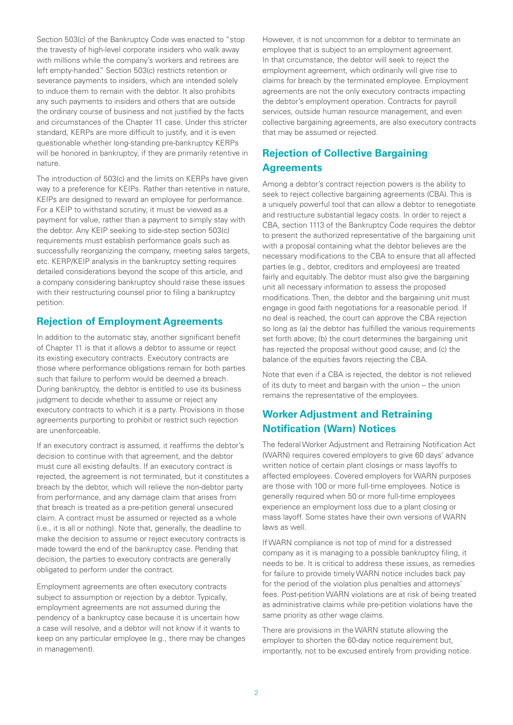Section 503(c) of the Bankruptcy Code was enacted to "stop the travesty of high-level corporate insiders who walk away with millions while the company's workers and retirees are left empty-handed." Section 503(c) restricts retention or severance payments to insiders, which are intended solely to induce them to remain with the debtor. It also prohibits any such payments to insiders and others that are outside the ordinary course of business and not justified by the facts and circumstances of the Chapter 11 case. Under this stricter standard, KERPs are more difficult to justify, and it is even questionable whether long-standing pre-bankruptcy KERPs will be honored in bankruptcy, if they are primarily retentive in nature.

The introduction of 503(c) and the limits on KERPs have given way to a preference for KEIPs. Rather than retentive in nature, KEIPs are designed to reward an employee for performance. For a KEIP to withstand scrutiny, it must be viewed as a payment for value, rather than a payment to simply stay with the debtor. Any KEIP seeking to side-step section 503(c) requirements must establish performance goals such as successfully reorganizing the company, meeting sales targets, etc. KERP/KEIP analysis in the bankruptcy setting requires detailed considerations beyond the scope of this article, and a company considering bankruptcy should raise these issues with their restructuring counsel prior to filing a bankruptcy petition.

## **Rejection of Employment Agreements**

In addition to the automatic stay, another significant benefit of Chapter 11 is that it allows a debtor to assume or reject its existing executory contracts. Executory contracts are those where performance obligations remain for both parties such that failure to perform would be deemed a breach. During bankruptcy, the debtor is entitled to use its business judgment to decide whether to assume or reject any executory contracts to which it is a party. Provisions in those agreements purporting to prohibit or restrict such rejection are unenforceable.

If an executory contract is assumed, it reaffirms the debtor's decision to continue with that agreement, and the debtor must cure all existing defaults. If an executory contract is rejected, the agreement is not terminated, but it constitutes a breach by the debtor, which will relieve the non-debtor party from performance, and any damage claim that arises from that breach is treated as a pre-petition general unsecured claim. A contract must be assumed or rejected as a whole (i.e., it is all or nothing). Note that, generally, the deadline to make the decision to assume or reject executory contracts is made toward the end of the bankruptcy case. Pending that decision, the parties to executory contracts are generally obligated to perform under the contract.

Employment agreements are often executory contracts subject to assumption or rejection by a debtor. Typically, employment agreements are not assumed during the pendency of a bankruptcy case because it is uncertain how a case will resolve, and a debtor will not know if it wants to keep on any particular employee (e.g., there may be changes in management).

However, it is not uncommon for a debtor to terminate an employee that is subject to an employment agreement. In that circumstance, the debtor will seek to reject the employment agreement, which ordinarily will give rise to claims for breach by the terminated employee. Employment agreements are not the only executory contracts impacting the debtor's employment operation. Contracts for payroll services, outside human resource management, and even collective bargaining agreements, are also executory contracts that may be assumed or rejected.

## **Rejection of Collective Bargaining Agreements**

Among a debtor's contract rejection powers is the ability to seek to reject collective bargaining agreements (CBA). This is a uniquely powerful tool that can allow a debtor to renegotiate and restructure substantial legacy costs. In order to reject a CBA, section 1113 of the Bankruptcy Code requires the debtor to present the authorized representative of the bargaining unit with a proposal containing what the debtor believes are the necessary modifications to the CBA to ensure that all affected parties (e.g., debtor, creditors and employees) are treated fairly and equitably. The debtor must also give the bargaining unit all necessary information to assess the proposed modifications. Then, the debtor and the bargaining unit must engage in good faith negotiations for a reasonable period. If no deal is reached, the court can approve the CBA rejection so long as (a) the debtor has fulfilled the various requirements set forth above; (b) the court determines the bargaining unit has rejected the proposal without good cause; and (c) the balance of the equities favors rejecting the CBA.

Note that even if a CBA is rejected, the debtor is not relieved of its duty to meet and bargain with the union – the union remains the representative of the employees.

## **Worker Adjustment and Retraining Notification (Warn) Notices**

The federal Worker Adjustment and Retraining Notification Act (WARN) requires covered employers to give 60 days' advance written notice of certain plant closings or mass layoffs to affected employees. Covered employers for WARN purposes are those with 100 or more full-time employees. Notice is generally required when 50 or more full-time employees experience an employment loss due to a plant closing or mass layoff. Some states have their own versions of WARN laws as well.

If WARN compliance is not top of mind for a distressed company as it is managing to a possible bankruptcy filing, it needs to be. It is critical to address these issues, as remedies for failure to provide timely WARN notice includes back pay for the period of the violation plus penalties and attorneys' fees. Post-petition WARN violations are at risk of being treated as administrative claims while pre-petition violations have the same priority as other wage claims.

There are provisions in the WARN statute allowing the employer to shorten the 60-day notice requirement but, importantly, not to be excused entirely from providing notice.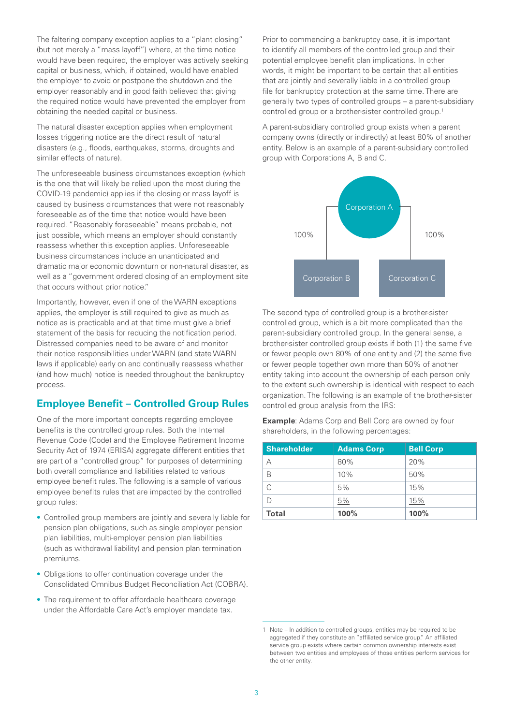The faltering company exception applies to a "plant closing" (but not merely a "mass layoff") where, at the time notice would have been required, the employer was actively seeking capital or business, which, if obtained, would have enabled the employer to avoid or postpone the shutdown and the employer reasonably and in good faith believed that giving the required notice would have prevented the employer from obtaining the needed capital or business.

The natural disaster exception applies when employment losses triggering notice are the direct result of natural disasters (e.g., floods, earthquakes, storms, droughts and similar effects of nature).

The unforeseeable business circumstances exception (which is the one that will likely be relied upon the most during the COVID-19 pandemic) applies if the closing or mass layoff is caused by business circumstances that were not reasonably foreseeable as of the time that notice would have been required. "Reasonably foreseeable" means probable, not just possible, which means an employer should constantly reassess whether this exception applies. Unforeseeable business circumstances include an unanticipated and dramatic major economic downturn or non-natural disaster, as well as a "government ordered closing of an employment site that occurs without prior notice."

Importantly, however, even if one of the WARN exceptions applies, the employer is still required to give as much as notice as is practicable and at that time must give a brief statement of the basis for reducing the notification period. Distressed companies need to be aware of and monitor their notice responsibilities under WARN (and state WARN laws if applicable) early on and continually reassess whether (and how much) notice is needed throughout the bankruptcy process.

### **Employee Benefit – Controlled Group Rules**

One of the more important concepts regarding employee benefits is the controlled group rules. Both the Internal Revenue Code (Code) and the Employee Retirement Income Security Act of 1974 (ERISA) aggregate different entities that are part of a "controlled group" for purposes of determining both overall compliance and liabilities related to various employee benefit rules. The following is a sample of various employee benefits rules that are impacted by the controlled group rules:

- Controlled group members are jointly and severally liable for pension plan obligations, such as single employer pension plan liabilities, multi-employer pension plan liabilities (such as withdrawal liability) and pension plan termination premiums.
- Obligations to offer continuation coverage under the Consolidated Omnibus Budget Reconciliation Act (COBRA).
- The requirement to offer affordable healthcare coverage under the Affordable Care Act's employer mandate tax.

Prior to commencing a bankruptcy case, it is important to identify all members of the controlled group and their potential employee benefit plan implications. In other words, it might be important to be certain that all entities that are jointly and severally liable in a controlled group file for bankruptcy protection at the same time. There are generally two types of controlled groups – a parent-subsidiary controlled group or a brother-sister controlled group.1

A parent-subsidiary controlled group exists when a parent company owns (directly or indirectly) at least 80% of another entity. Below is an example of a parent-subsidiary controlled group with Corporations A, B and C.



The second type of controlled group is a brother-sister controlled group, which is a bit more complicated than the parent-subsidiary controlled group. In the general sense, a brother-sister controlled group exists if both (1) the same five or fewer people own 80% of one entity and (2) the same five or fewer people together own more than 50% of another entity taking into account the ownership of each person only to the extent such ownership is identical with respect to each organization. The following is an example of the brother-sister controlled group analysis from the IRS:

**Example**: Adams Corp and Bell Corp are owned by four shareholders, in the following percentages:

| <b>Shareholder</b> | <b>Adams Corp</b> | <b>Bell Corp</b> |
|--------------------|-------------------|------------------|
|                    | 80%               | 20%              |
| B                  | 10%               | 50%              |
|                    | 5%                | 15%              |
|                    | 5%                | 15%              |
| <b>Total</b>       | 100%              | 100%             |

<sup>1</sup> Note – In addition to controlled groups, entities may be required to be aggregated if they constitute an "affiliated service group." An affiliated service group exists where certain common ownership interests exist between two entities and employees of those entities perform services for the other entity.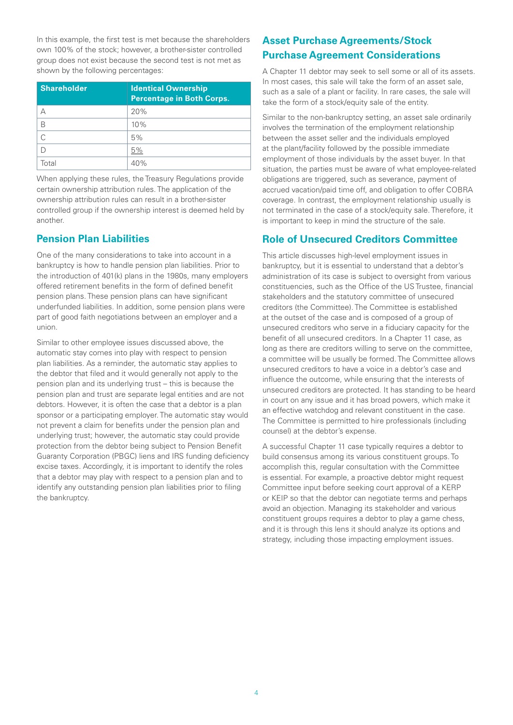In this example, the first test is met because the shareholders own 100% of the stock; however, a brother-sister controlled group does not exist because the second test is not met as shown by the following percentages:

| <b>Shareholder</b> | <b>Identical Ownership</b><br>Percentage in Both Corps. |
|--------------------|---------------------------------------------------------|
|                    | 20%                                                     |
| R                  | 10%                                                     |
| C                  | 5%                                                      |
|                    | 5%                                                      |
| Г∩†аI              | 40%                                                     |

When applying these rules, the Treasury Regulations provide certain ownership attribution rules. The application of the ownership attribution rules can result in a brother-sister controlled group if the ownership interest is deemed held by another.

## **Pension Plan Liabilities**

One of the many considerations to take into account in a bankruptcy is how to handle pension plan liabilities. Prior to the introduction of 401(k) plans in the 1980s, many employers offered retirement benefits in the form of defined benefit pension plans. These pension plans can have significant underfunded liabilities. In addition, some pension plans were part of good faith negotiations between an employer and a union.

Similar to other employee issues discussed above, the automatic stay comes into play with respect to pension plan liabilities. As a reminder, the automatic stay applies to the debtor that filed and it would generally not apply to the pension plan and its underlying trust – this is because the pension plan and trust are separate legal entities and are not debtors. However, it is often the case that a debtor is a plan sponsor or a participating employer. The automatic stay would not prevent a claim for benefits under the pension plan and underlying trust; however, the automatic stay could provide protection from the debtor being subject to Pension Benefit Guaranty Corporation (PBGC) liens and IRS funding deficiency excise taxes. Accordingly, it is important to identify the roles that a debtor may play with respect to a pension plan and to identify any outstanding pension plan liabilities prior to filing the bankruptcy.

# **Asset Purchase Agreements/Stock Purchase Agreement Considerations**

A Chapter 11 debtor may seek to sell some or all of its assets. In most cases, this sale will take the form of an asset sale, such as a sale of a plant or facility. In rare cases, the sale will take the form of a stock/equity sale of the entity.

Similar to the non-bankruptcy setting, an asset sale ordinarily involves the termination of the employment relationship between the asset seller and the individuals employed at the plant/facility followed by the possible immediate employment of those individuals by the asset buyer. In that situation, the parties must be aware of what employee-related obligations are triggered, such as severance, payment of accrued vacation/paid time off, and obligation to offer COBRA coverage. In contrast, the employment relationship usually is not terminated in the case of a stock/equity sale. Therefore, it is important to keep in mind the structure of the sale.

## **Role of Unsecured Creditors Committee**

This article discusses high-level employment issues in bankruptcy, but it is essential to understand that a debtor's administration of its case is subject to oversight from various constituencies, such as the Office of the US Trustee, financial stakeholders and the statutory committee of unsecured creditors (the Committee). The Committee is established at the outset of the case and is composed of a group of unsecured creditors who serve in a fiduciary capacity for the benefit of all unsecured creditors. In a Chapter 11 case, as long as there are creditors willing to serve on the committee, a committee will be usually be formed. The Committee allows unsecured creditors to have a voice in a debtor's case and influence the outcome, while ensuring that the interests of unsecured creditors are protected. It has standing to be heard in court on any issue and it has broad powers, which make it an effective watchdog and relevant constituent in the case. The Committee is permitted to hire professionals (including counsel) at the debtor's expense.

A successful Chapter 11 case typically requires a debtor to build consensus among its various constituent groups. To accomplish this, regular consultation with the Committee is essential. For example, a proactive debtor might request Committee input before seeking court approval of a KERP or KEIP so that the debtor can negotiate terms and perhaps avoid an objection. Managing its stakeholder and various constituent groups requires a debtor to play a game chess, and it is through this lens it should analyze its options and strategy, including those impacting employment issues.